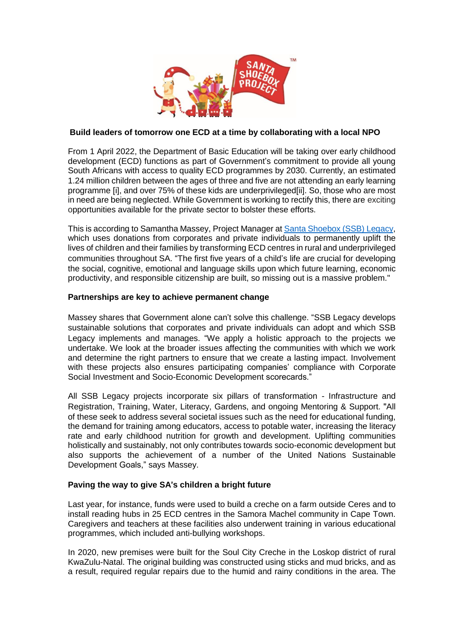

## **Build leaders of tomorrow one ECD at a time by collaborating with a local NPO**

From 1 April 2022, the Department of Basic Education will be taking over early childhood development (ECD) functions as part of Government's commitment to provide all young South Africans with access to quality ECD programmes by 2030. Currently, an estimated 1.24 million children between the ages of three and five are not attending an early learning programme [i], and over 75% of these kids are underprivileged[ii]. So, those who are most in need are being neglected. While Government is working to rectify this, there are exciting opportunities available for the private sector to bolster these efforts.

This is according to Samantha Massey, Project Manager at Santa [Shoebox](https://santashoebox.org.za/legacy-2/?utm_source=News&utm_medium=Press+Release&utm_campaign=Human+Rights+Day) (SSB) Legacy, which uses donations from corporates and private individuals to permanently uplift the lives of children and their families by transforming ECD centres in rural and underprivileged communities throughout SA. "The first five years of a child's life are crucial for developing the social, cognitive, emotional and language skills upon which future learning, economic productivity, and responsible citizenship are built, so missing out is a massive problem."

## **Partnerships are key to achieve permanent change**

Massey shares that Government alone can't solve this challenge. "SSB Legacy develops sustainable solutions that corporates and private individuals can adopt and which SSB Legacy implements and manages. "We apply a holistic approach to the projects we undertake. We look at the broader issues affecting the communities with which we work and determine the right partners to ensure that we create a lasting impact. Involvement with these projects also ensures participating companies' compliance with Corporate Social Investment and Socio-Economic Development scorecards."

All SSB Legacy projects incorporate six pillars of transformation - Infrastructure and Registration, Training, Water, Literacy, Gardens, and ongoing Mentoring & Support. "All of these seek to address several societal issues such as the need for educational funding, the demand for training among educators, access to potable water, increasing the literacy rate and early childhood nutrition for growth and development. Uplifting communities holistically and sustainably, not only contributes towards socio-economic development but also supports the achievement of a number of the United Nations Sustainable Development Goals," says Massey.

## **Paving the way to give SA**'**s children a bright future**

Last year, for instance, funds were used to build a creche on a farm outside Ceres and to install reading hubs in 25 ECD centres in the Samora Machel community in Cape Town. Caregivers and teachers at these facilities also underwent training in various educational programmes, which included anti-bullying workshops.

In 2020, new premises were built for the Soul City Creche in the Loskop district of rural KwaZulu-Natal. The original building was constructed using sticks and mud bricks, and as a result, required regular repairs due to the humid and rainy conditions in the area. The